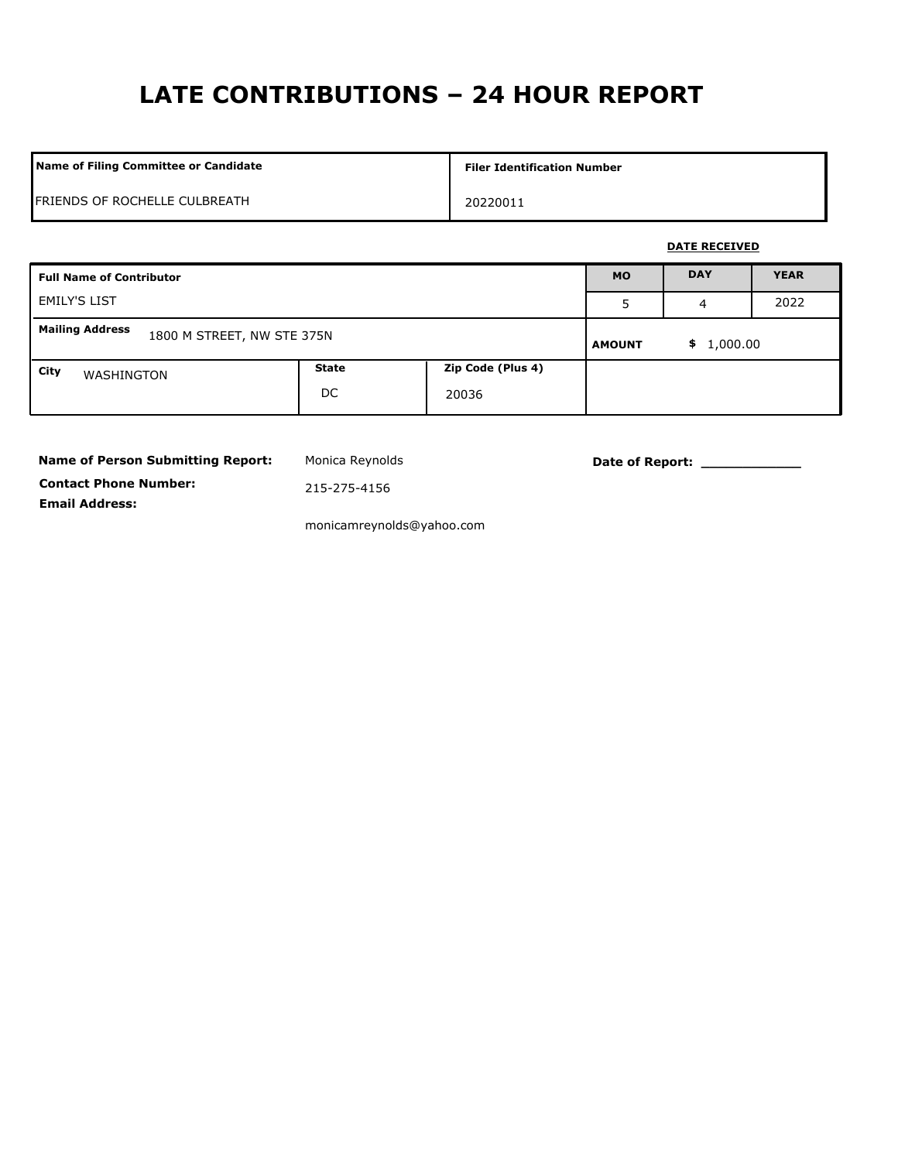# **LATE CONTRIBUTIONS – 24 HOUR REPORT**

| Name of Filing Committee or Candidate | <b>Filer Identification Number</b> |
|---------------------------------------|------------------------------------|
| FRIENDS OF ROCHELLE CULBREATH         | 20220011                           |

### **DATE RECEIVED**

| <b>Full Name of Contributor</b>                      |                    | <b>MO</b>                  | <b>DAY</b>      | <b>YEAR</b> |  |
|------------------------------------------------------|--------------------|----------------------------|-----------------|-------------|--|
| <b>EMILY'S LIST</b>                                  |                    | 5                          | 4               | 2022        |  |
| <b>Mailing Address</b><br>1800 M STREET, NW STE 375N |                    | <b>AMOUNT</b>              | 1,000.00<br>\$. |             |  |
| City<br>WASHINGTON                                   | <b>State</b><br>DC | Zip Code (Plus 4)<br>20036 |                 |             |  |

| <b>Name of Person Submitting Report:</b> |
|------------------------------------------|
| <b>Contact Phone Number:</b>             |
| <b>Email Address:</b>                    |

Monica Reynolds **Date of Report:** 2001

215-275-4156

monicamreynolds@yahoo.com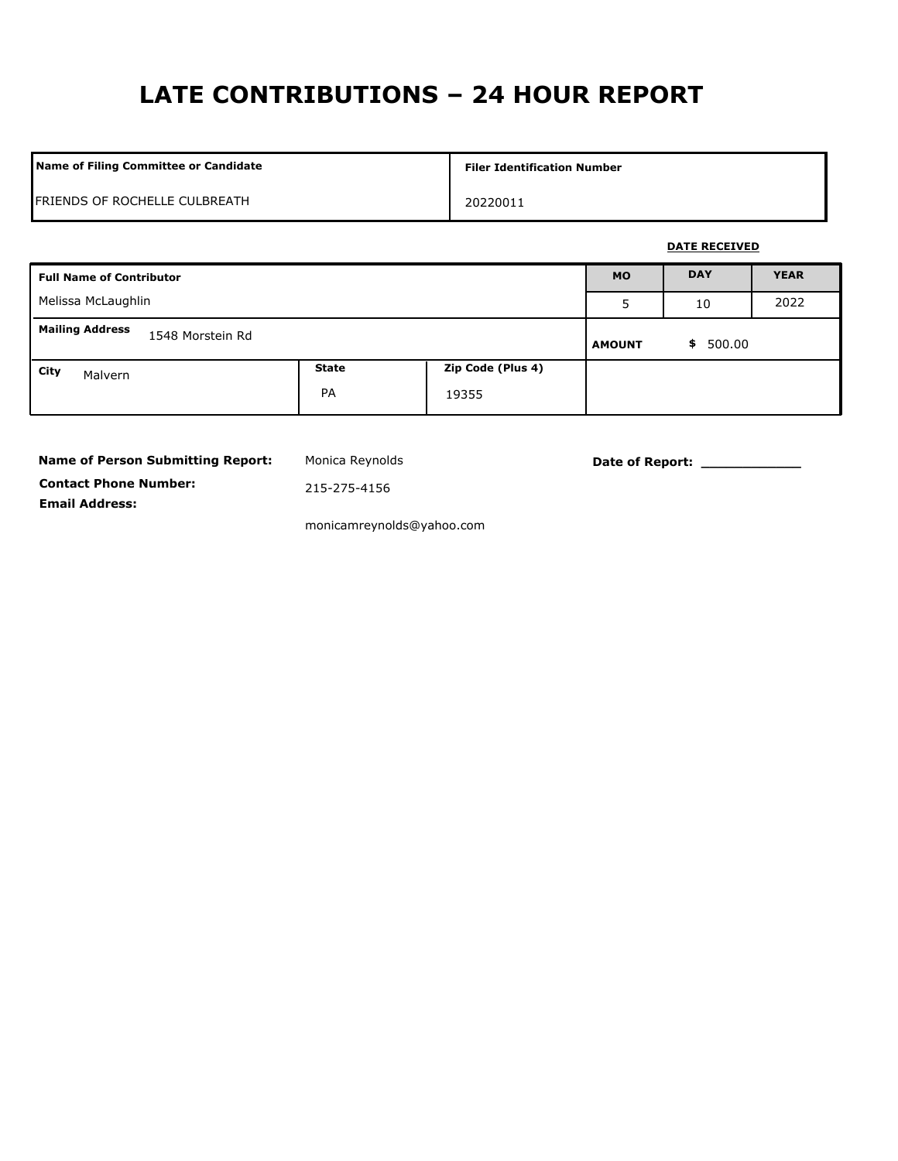# **LATE CONTRIBUTIONS – 24 HOUR REPORT**

| Name of Filing Committee or Candidate | <b>Filer Identification Number</b> |
|---------------------------------------|------------------------------------|
| FRIENDS OF ROCHELLE CULBREATH         | 20220011                           |

### **DATE RECEIVED**

| <b>Full Name of Contributor</b>            |                    | <b>MO</b>                  | <b>DAY</b>   | <b>YEAR</b> |  |
|--------------------------------------------|--------------------|----------------------------|--------------|-------------|--|
| Melissa McLaughlin                         |                    | 5                          | 10           | 2022        |  |
| <b>Mailing Address</b><br>1548 Morstein Rd |                    | <b>AMOUNT</b>              | 500.00<br>\$ |             |  |
| City<br>Malvern                            | <b>State</b><br>PA | Zip Code (Plus 4)<br>19355 |              |             |  |

| <b>Name of Person Submitting Report:</b> |
|------------------------------------------|
| <b>Contact Phone Number:</b>             |
| <b>Email Address:</b>                    |

Monica Reynolds **Date of Report:** 2001

215-275-4156

monicamreynolds@yahoo.com